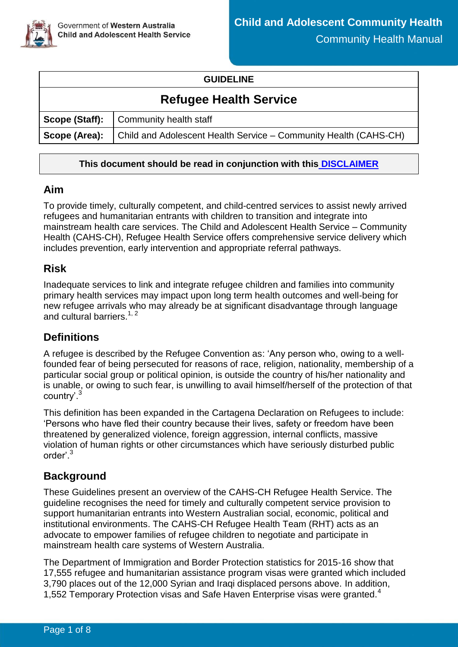

#### **GUIDELINE**

# **Refugee Health Service**

|               | Scope (Staff): Community health staff                            |
|---------------|------------------------------------------------------------------|
| Scope (Area): | Child and Adolescent Health Service – Community Health (CAHS-CH) |

### **This document should be read in conjunction with this [DISCLAIMER](https://ww2.health.wa.gov.au/About-us/Child-and-Adolescent-Health-Service/Child-and-Adolescent-Community-Health/Professional-resources/Community-Health-Manual/CAHS-clinical-disclaimer)**

## **Aim**

To provide timely, culturally competent, and child-centred services to assist newly arrived refugees and humanitarian entrants with children to transition and integrate into mainstream health care services. The Child and Adolescent Health Service – Community Health (CAHS-CH), Refugee Health Service offers comprehensive service delivery which includes prevention, early intervention and appropriate referral pathways.

## **Risk**

Inadequate services to link and integrate refugee children and families into community primary health services may impact upon long term health outcomes and well-being for new refugee arrivals who may already be at significant disadvantage through language and cultural barriers.<sup>1, 2</sup>

# **Definitions**

A refugee is described by the Refugee Convention as: 'Any person who, owing to a wellfounded fear of being persecuted for reasons of race, religion, nationality, membership of a particular social group or political opinion, is outside the country of his/her nationality and is unable, or owing to such fear, is unwilling to avail himself/herself of the protection of that country'.<sup>3</sup>

This definition has been expanded in the Cartagena Declaration on Refugees to include: 'Persons who have fled their country because their lives, safety or freedom have been threatened by generalized violence, foreign aggression, internal conflicts, massive violation of human rights or other circumstances which have seriously disturbed public order'. 3

# **Background**

These Guidelines present an overview of the CAHS-CH Refugee Health Service. The guideline recognises the need for timely and culturally competent service provision to support humanitarian entrants into Western Australian social, economic, political and institutional environments. The CAHS-CH Refugee Health Team (RHT) acts as an advocate to empower families of refugee children to negotiate and participate in mainstream health care systems of Western Australia.

The Department of Immigration and Border Protection statistics for 2015-16 show that 17,555 refugee and humanitarian assistance program visas were granted which included 3,790 places out of the 12,000 Syrian and Iraqi displaced persons above. In addition, 1,552 Temporary Protection visas and Safe Haven Enterprise visas were granted.<sup>4</sup>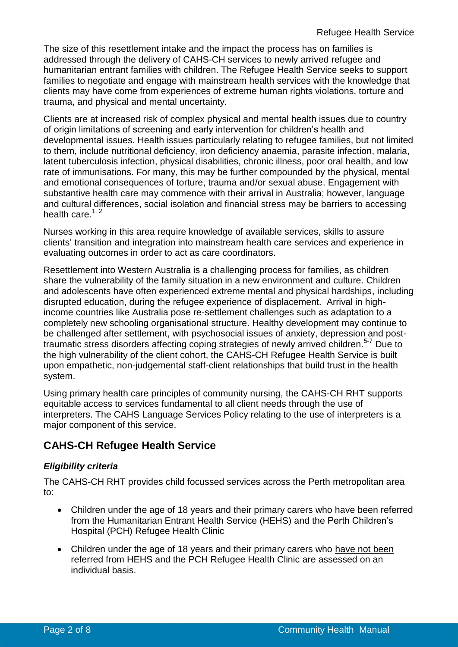The size of this resettlement intake and the impact the process has on families is addressed through the delivery of CAHS-CH services to newly arrived refugee and humanitarian entrant families with children. The Refugee Health Service seeks to support families to negotiate and engage with mainstream health services with the knowledge that clients may have come from experiences of extreme human rights violations, torture and trauma, and physical and mental uncertainty.

Clients are at increased risk of complex physical and mental health issues due to country of origin limitations of screening and early intervention for children's health and developmental issues. Health issues particularly relating to refugee families, but not limited to them, include nutritional deficiency, iron deficiency anaemia, parasite infection, malaria, latent tuberculosis infection, physical disabilities, chronic illness, poor oral health, and low rate of immunisations. For many, this may be further compounded by the physical, mental and emotional consequences of torture, trauma and/or sexual abuse. Engagement with substantive health care may commence with their arrival in Australia; however, language and cultural differences, social isolation and financial stress may be barriers to accessing health care. $1, 2$ 

Nurses working in this area require knowledge of available services, skills to assure clients' transition and integration into mainstream health care services and experience in evaluating outcomes in order to act as care coordinators.

Resettlement into Western Australia is a challenging process for families, as children share the vulnerability of the family situation in a new environment and culture. Children and adolescents have often experienced extreme mental and physical hardships, including disrupted education, during the refugee experience of displacement. Arrival in highincome countries like Australia pose re-settlement challenges such as adaptation to a completely new schooling organisational structure. Healthy development may continue to be challenged after settlement, with psychosocial issues of anxiety, depression and posttraumatic stress disorders affecting coping strategies of newly arrived children.<sup>5-7</sup> Due to the high vulnerability of the client cohort, the CAHS-CH Refugee Health Service is built upon empathetic, non-judgemental staff-client relationships that build trust in the health system.

Using primary health care principles of community nursing, the CAHS-CH RHT supports equitable access to services fundamental to all client needs through the use of interpreters. The CAHS Language Services Policy relating to the use of interpreters is a major component of this service.

# **CAHS-CH Refugee Health Service**

### *Eligibility criteria*

The CAHS-CH RHT provides child focussed services across the Perth metropolitan area to:

- Children under the age of 18 years and their primary carers who have been referred from the Humanitarian Entrant Health Service (HEHS) and the Perth Children's Hospital (PCH) Refugee Health Clinic
- Children under the age of 18 years and their primary carers who have not been referred from HEHS and the PCH Refugee Health Clinic are assessed on an individual basis.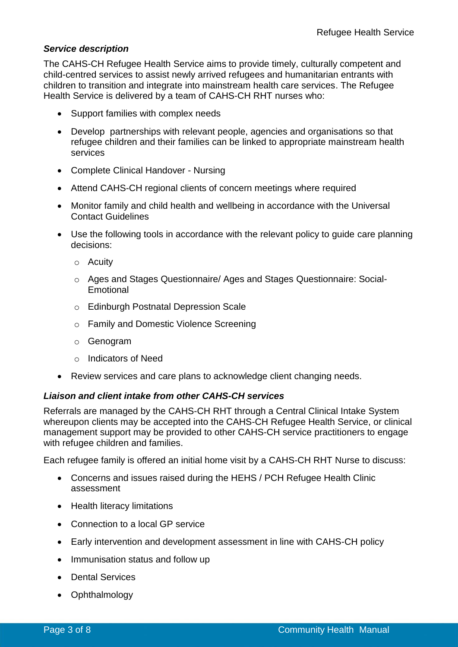#### *Service description*

The CAHS-CH Refugee Health Service aims to provide timely, culturally competent and child-centred services to assist newly arrived refugees and humanitarian entrants with children to transition and integrate into mainstream health care services. The Refugee Health Service is delivered by a team of CAHS-CH RHT nurses who:

- Support families with complex needs
- Develop partnerships with relevant people, agencies and organisations so that refugee children and their families can be linked to appropriate mainstream health services
- Complete Clinical Handover Nursing
- Attend CAHS-CH regional clients of concern meetings where required
- Monitor family and child health and wellbeing in accordance with the Universal Contact Guidelines
- Use the following tools in accordance with the relevant policy to guide care planning decisions:
	- o Acuity
	- o Ages and Stages Questionnaire/ Ages and Stages Questionnaire: Social-Emotional
	- o Edinburgh Postnatal Depression Scale
	- o Family and Domestic Violence Screening
	- o Genogram
	- o Indicators of Need
- Review services and care plans to acknowledge client changing needs.

#### *Liaison and client intake from other CAHS-CH services*

Referrals are managed by the CAHS-CH RHT through a Central Clinical Intake System whereupon clients may be accepted into the CAHS-CH Refugee Health Service, or clinical management support may be provided to other CAHS-CH service practitioners to engage with refugee children and families.

Each refugee family is offered an initial home visit by a CAHS-CH RHT Nurse to discuss:

- Concerns and issues raised during the HEHS / PCH Refugee Health Clinic assessment
- Health literacy limitations
- Connection to a local GP service
- Early intervention and development assessment in line with CAHS-CH policy
- Immunisation status and follow up
- Dental Services
- Ophthalmology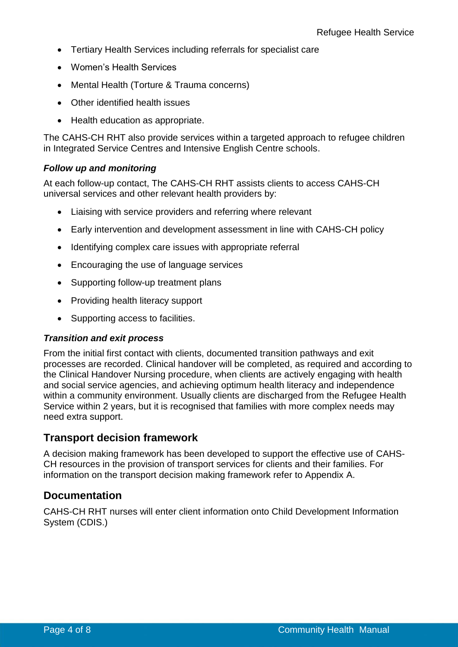- Tertiary Health Services including referrals for specialist care
- Women's Health Services
- Mental Health (Torture & Trauma concerns)
- Other identified health issues
- Health education as appropriate.

The CAHS-CH RHT also provide services within a targeted approach to refugee children in Integrated Service Centres and Intensive English Centre schools.

#### *Follow up and monitoring*

At each follow-up contact, The CAHS-CH RHT assists clients to access CAHS-CH universal services and other relevant health providers by:

- Liaising with service providers and referring where relevant
- Early intervention and development assessment in line with CAHS-CH policy
- Identifying complex care issues with appropriate referral
- Encouraging the use of language services
- Supporting follow-up treatment plans
- Providing health literacy support
- Supporting access to facilities.

#### *Transition and exit process*

From the initial first contact with clients, documented transition pathways and exit processes are recorded. Clinical handover will be completed, as required and according to the Clinical Handover Nursing procedure, when clients are actively engaging with health and social service agencies, and achieving optimum health literacy and independence within a community environment. Usually clients are discharged from the Refugee Health Service within 2 years, but it is recognised that families with more complex needs may need extra support.

### **Transport decision framework**

A decision making framework has been developed to support the effective use of CAHS-CH resources in the provision of transport services for clients and their families. For information on the transport decision making framework refer to Appendix A.

### **Documentation**

CAHS-CH RHT nurses will enter client information onto Child Development Information System (CDIS.)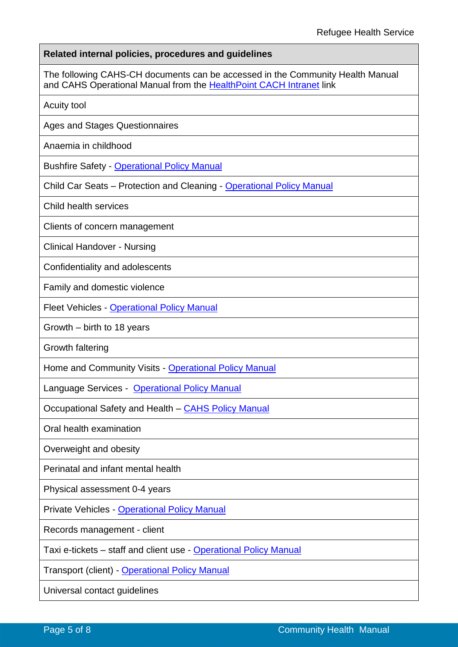**Related internal policies, procedures and guidelines**

The following CAHS-CH documents can be accessed in the Community Health Manual and CAHS Operational Manual from the [HealthPoint CACH Intranet](https://cahs-healthpoint.hdwa.health.wa.gov.au/Pages/default.aspx) link

Acuity tool

Ages and Stages Questionnaires

Anaemia in childhood

[Bushfire Safety](https://healthpoint.hdwa.health.wa.gov.au/policies/Pages/CAHS-Policies-Corporate.aspx) - [Operational Policy Manual](https://healthpoint.hdwa.health.wa.gov.au/policies/Pages/CACH-Operational-Policies.aspx)

Child Car Seats – Protection and Cleaning - [Operational Policy Manual](https://healthpoint.hdwa.health.wa.gov.au/policies/Pages/CACH-Operational-Policies.aspx)

Child health services

Clients of concern management

Clinical Handover - Nursing

Confidentiality and adolescents

Family and domestic violence

Fleet Vehicles - [Operational Policy Manual](https://healthpoint.hdwa.health.wa.gov.au/policies/Pages/CACH-Operational-Policies.aspx)

Growth – birth to 18 years

Growth faltering

Home and Community Visits - [Operational Policy Manual](https://healthpoint.hdwa.health.wa.gov.au/policies/Pages/CACH-Operational-Policies.aspx)

Language Services - [Operational Policy Manual](https://healthpoint.hdwa.health.wa.gov.au/policies/Pages/CACH-Operational-Policies.aspx)

Occupational Safety and Health – [CAHS Policy Manual](https://healthpoint.hdwa.health.wa.gov.au/policies/Pages/CAHS-Policies-Corporate.aspx)

Oral health examination

Overweight and obesity

Perinatal and infant mental health

Physical assessment 0-4 years

Private Vehicles - [Operational Policy Manual](https://healthpoint.hdwa.health.wa.gov.au/policies/Pages/CACH-Operational-Policies.aspx)

Records management - client

Taxi e-tickets – staff and client use - [Operational Policy Manual](https://healthpoint.hdwa.health.wa.gov.au/policies/Pages/CACH-Operational-Policies.aspx)

Transport (client) - [Operational Policy Manual](https://healthpoint.hdwa.health.wa.gov.au/policies/Pages/CACH-Operational-Policies.aspx)

Universal contact guidelines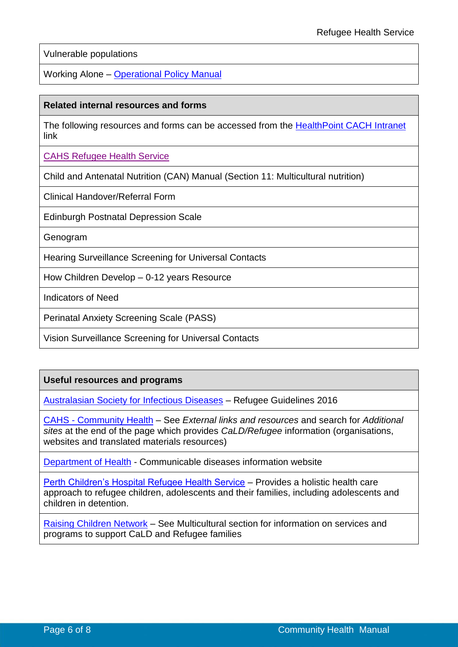Vulnerable populations

Working Alone – [Operational Policy Manual](https://healthpoint.hdwa.health.wa.gov.au/policies/Pages/CACH-Operational-Policies.aspx)

#### **Related internal resources and forms**

The following resources and forms can be accessed from the [HealthPoint CACH Intranet](https://cahs-healthpoint.hdwa.health.wa.gov.au/Pages/default.aspx) link

[CAHS Refugee Health Service](https://cahs-healthpoint.hdwa.health.wa.gov.au/cach/About-Us/Pages/Refugee-Health.aspx)

Child and Antenatal Nutrition (CAN) Manual (Section 11: Multicultural nutrition)

Clinical Handover/Referral Form

Edinburgh Postnatal Depression Scale

Genogram

Hearing Surveillance Screening for Universal Contacts

How Children Develop – 0-12 years Resource

Indicators of Need

Perinatal Anxiety Screening Scale (PASS)

Vision Surveillance Screening for Universal Contacts

#### **Useful resources and programs**

[Australasian Society for Infectious Diseases](https://www.asid.net.au/products/refugee-guidelines-2016) – Refugee Guidelines 2016

CAHS - [Community Health](https://cahs-healthpoint.hdwa.health.wa.gov.au/cach/resources/Pages/external-links-and-resources.aspx) – See *External links and resources* and search for *Additional sites* at the end of the page which provides *CaLD/Refugee* information (organisations, websites and translated materials resources)

[Department of Health](http://www.health.gov.au/internet/main/publishing.nsf/Content/ohp-communic-4) - Communicable diseases information website

[Perth Children's Hospital Refugee Health Service](https://pch-healthpoint.hdwa.health.wa.gov.au/directory/clinicalservices/Refugee-Health-Service/pages/default.aspx) – Provides a holistic health care approach to refugee children, adolescents and their families, including adolescents and children in detention.

[Raising Children Network](https://raisingchildren.net.au/grown-ups/services-support/services-families/multicultural) – See Multicultural section for information on services and programs to support CaLD and Refugee families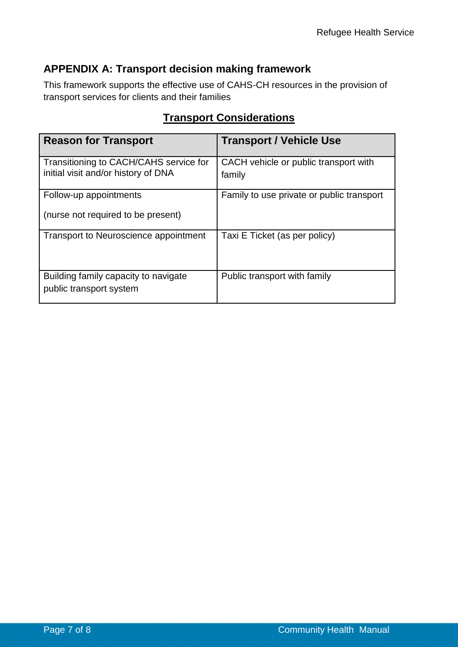# **APPENDIX A: Transport decision making framework**

This framework supports the effective use of CAHS-CH resources in the provision of transport services for clients and their families

| <b>Reason for Transport</b>                                                   | <b>Transport / Vehicle Use</b>                  |  |
|-------------------------------------------------------------------------------|-------------------------------------------------|--|
| Transitioning to CACH/CAHS service for<br>initial visit and/or history of DNA | CACH vehicle or public transport with<br>family |  |
| Follow-up appointments                                                        | Family to use private or public transport       |  |
| (nurse not required to be present)                                            |                                                 |  |
| Transport to Neuroscience appointment                                         | Taxi E Ticket (as per policy)                   |  |
| Building family capacity to navigate<br>public transport system               | Public transport with family                    |  |

# **Transport Considerations**